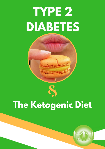# **TYPE 2 DIABETES**



## **The Ketogenic Diet**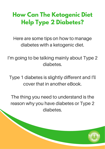## **How Can The Ketogenic Diet Help Type 2 Diabetes?**

Here are some tips on how to manage diabetes with a ketogenic diet.

I'm going to be talking mainly about Type 2 diabetes.

Type 1 diabetes is slightly different and I'll cover that in another eBook.

The thing you need to understand is the reason why you have diabetes or Type 2 diabetes.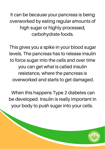It can be because your pancreas is being overworked by eating regular amounts of high sugar or highly processed, carbohydrate foods.

This gives you a spike in your blood sugar levels. The pancreas has to release insulin to force sugar into the cells and over time you can get what is called insulin resistance, where the pancreas is overworked and starts to get damaged.

When this happens Type 2 diabetes can be developed. Insulin is really important in your body to push sugar into your cells.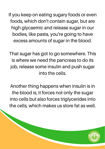If you keep on eating sugary foods or even foods, which don't contain sugar, but are high glycaemic and release sugar in our bodies, like pasta, you're going to have excess amounts of sugar in the blood.

That sugar has got to go somewhere. This is where we need the pancreas to do its job, release some insulin and push sugar into the cells.

Another thing happens when insulin is in the blood is, it forces not only the sugar into cells but also forces triglycerides into the cells, which makes us store fat as well.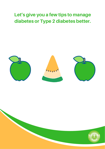### Let's give you a few tips to manage diabetes or Type 2 diabetes better.



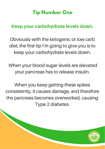## **Tip Number One**

#### Keep your carbohydrate levels down.

Obviously with the ketogenic or low carb diet, the first tip I'm going to give you is to keep your carbohydrate levels down.

When your blood sugar levels are elevated your pancreas has to release insulin.

When you keep getting these spikes consistently, it causes damage, and therefore the pancreas becomes overworked, causing Type 2 diabetes.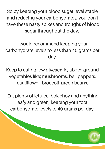So by keeping your blood sugar level stable and reducing your carbohydrates, you don't have these nasty spikes and troughs of blood sugar throughout the day.

I would recommend keeping your carbohydrate levels to less than 40 grams per day.

Keep to eating low glycaemic, above ground vegetables like; mushrooms, bell peppers, cauliflower, broccoli, green beans.

Eat plenty of lettuce, bok choy and anything leafy and green, keeping your total carbohydrate levels to 40 grams per day.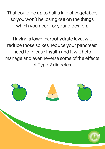That could be up to half a kilo of vegetables so you won't be losing out on the things which you need for your digestion.

Having a lower carbohydrate level will reduce those spikes, reduce your pancreas' need to release insulin and it will help manage and even reverse some of the effects of Type 2 diabetes.

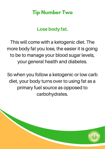### **Tip Number Two**

#### Lose body fat.

This will come with a ketogenic diet. The more body fat you lose, the easier it is going to be to manage your blood sugar levels, your general health and diabetes.

So when you follow a ketogenic or low carb diet, your body turns over to using fat as a primary fuel source as opposed to carbohydrates.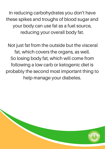In reducing carbohydrates you don't have these spikes and troughs of blood sugar and your body can use fat as a fuel source, reducing your overall body fat.

Not just fat from the outside but the visceral fat, which covers the organs, as well. So losing body fat, which will come from following a low carb or ketogenic diet is probably the second most important thing to help manage your diabetes.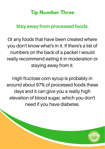## **Tip Number Three**

#### Stay away from processed foods.

Or any foods that have been created where you don't know what's in it. If there's a list of numbers on the back of a packet I would really recommend eating it in moderation or staying away from it.

High fructose corn syrup is probably in around about 97% of processed foods these days and it can give you a really high elevation of blood sugar, which you don't need if you have diabetes.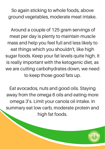So again sticking to whole foods, above ground vegetables, moderate meat intake.

Around a couple of 125 gram servings of meat per day is plenty to maintain muscle mass and help you feel full and less likely to eat things which you shouldn't, like high sugar foods. Keep your fat levels quite high. It is really important with the ketogenic diet, as we are cutting carbohydrates down, we need to keep those good fats up.

Eat avocados, nuts and good oils. Staying away from the omega 6 oils and eating more omega 3's. Limit your canola oil intake. In summary eat low carb, moderate protein and high fat foods.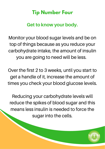## **Tip Number Four**

#### Get to know your body.

Monitor your blood sugar levels and be on top of things because as you reduce your carbohydrate intake, the amount of insulin you are going to need will be less.

Over the first 2 to 3 weeks, until you start to get a handle of it, increase the amount of times you check your blood glucose levels.

Reducing your carbohydrate levels will reduce the spikes of blood sugar and this means less insulin is needed to force the sugar into the cells.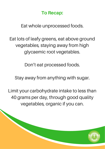#### To Recap:

Eat whole unprocessed foods.

Eat lots of leafy greens, eat above ground vegetables, staying away from high glycaemic root vegetables.

Don't eat processed foods.

Stay away from anything with sugar.

Limit your carbohydrate intake to less than 40 grams per day, through good quality vegetables, organic if you can.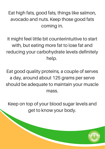Eat high fats, good fats, things like salmon, avocado and nuts. Keep those good fats coming in.

It might feel little bit counterintuitive to start with, but eating more fat to lose fat and reducing your carbohydrate levels definitely help.

Eat good quality proteins, a couple of serves a day, around about 125 grams per serve should be adequate to maintain your muscle mass.

Keep on top of your blood sugar levels and get to know your body.